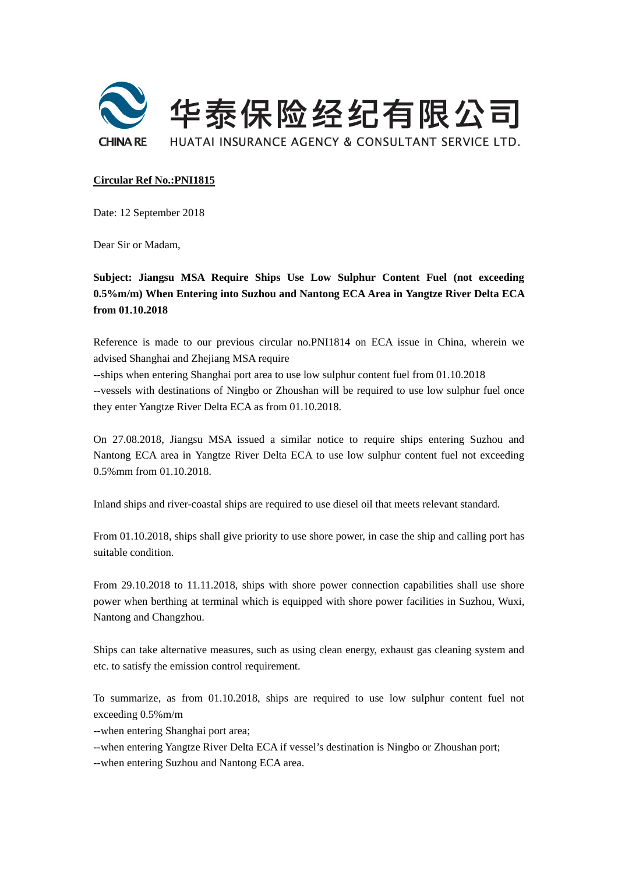

## **Circular Ref No.:PNI1815**

Date: 12 September 2018

Dear Sir or Madam,

**Subject: Jiangsu MSA Require Ships Use Low Sulphur Content Fuel (not exceeding 0.5%m/m) When Entering into Suzhou and Nantong ECA Area in Yangtze River Delta ECA from 01.10.2018** 

Reference is made to our previous circular no.PNI1814 on ECA issue in China, wherein we advised Shanghai and Zhejiang MSA require

--ships when entering Shanghai port area to use low sulphur content fuel from 01.10.2018 --vessels with destinations of Ningbo or Zhoushan will be required to use low sulphur fuel once they enter Yangtze River Delta ECA as from 01.10.2018.

On 27.08.2018, Jiangsu MSA issued a similar notice to require ships entering Suzhou and Nantong ECA area in Yangtze River Delta ECA to use low sulphur content fuel not exceeding 0.5%mm from 01.10.2018.

Inland ships and river-coastal ships are required to use diesel oil that meets relevant standard.

From 01.10.2018, ships shall give priority to use shore power, in case the ship and calling port has suitable condition.

From 29.10.2018 to 11.11.2018, ships with shore power connection capabilities shall use shore power when berthing at terminal which is equipped with shore power facilities in Suzhou, Wuxi, Nantong and Changzhou.

Ships can take alternative measures, such as using clean energy, exhaust gas cleaning system and etc. to satisfy the emission control requirement.

To summarize, as from 01.10.2018, ships are required to use low sulphur content fuel not exceeding 0.5%m/m

--when entering Shanghai port area;

--when entering Yangtze River Delta ECA if vessel's destination is Ningbo or Zhoushan port;

--when entering Suzhou and Nantong ECA area.